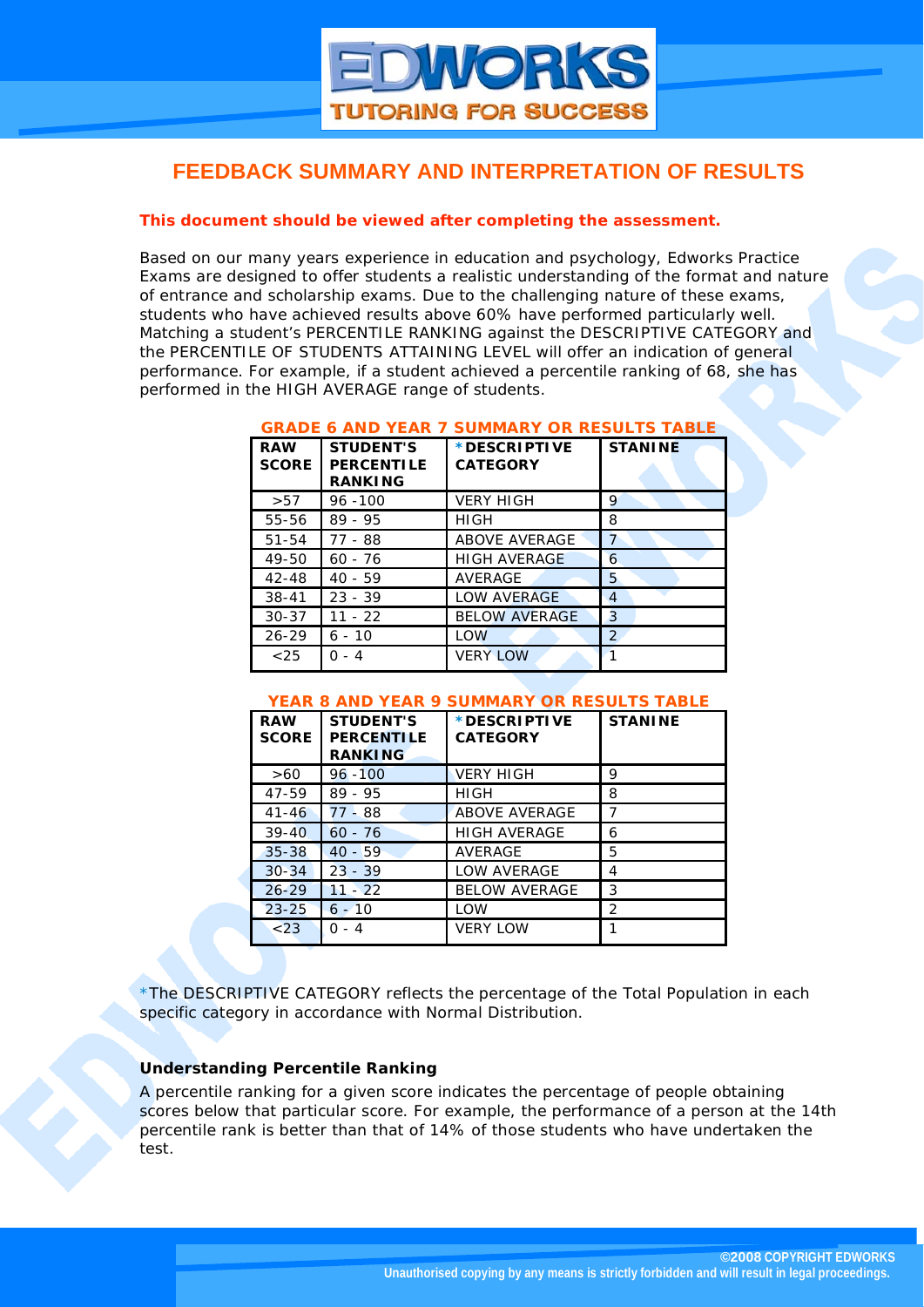# **FEEDBACK SUMMARY AND INTERPRETATION OF RESULTS**

## *This document should be viewed after completing the assessment.*

Based on our many years experience in education and psychology, Edworks Practice Exams are designed to offer students a realistic understanding of the format and nature of entrance and scholarship exams. Due to the challenging nature of these exams, students who have achieved results above 60% have performed particularly well. Matching a student's PERCENTILE RANKING against the DESCRIPTIVE CATEGORY and the PERCENTILE OF STUDENTS ATTAINING LEVEL will offer an indication of general performance. For example, if a student achieved a percentile ranking of 68, she has performed in the HIGH AVERAGE range of students.

| <b>RAW</b><br><b>SCORE</b> | <b>STUDENT'S</b><br><b>PERCENTILE</b><br><b>RANKING</b> | *DESCRIPTIVE<br><b>CATEGORY</b> | <b>STANINE</b> |
|----------------------------|---------------------------------------------------------|---------------------------------|----------------|
| >57                        | $96 - 100$                                              | <b>VERY HIGH</b>                | 9              |
| 55-56                      | $89 - 95$                                               | <b>HIGH</b>                     | 8              |
| $51 - 54$                  | 77 - 88                                                 | <b>ABOVE AVERAGE</b>            | $\overline{7}$ |
| 49-50                      | $60 - 76$                                               | <b>HIGH AVERAGE</b>             | 6              |
| $42 - 48$                  | $40 - 59$                                               | AVERAGE                         | 5              |
| $38 - 41$                  | $23 - 39$                                               | LOW AVERAGE                     | $\overline{4}$ |
| $30 - 37$                  | $11 - 22$                                               | <b>BELOW AVERAGE</b>            | 3              |
| $26 - 29$                  | $6 - 10$                                                | <b>LOW</b>                      | 2              |
| $<$ 25                     | 0 - 4                                                   | <b>VERY LOW</b>                 | $\mathbf{1}$   |

#### **GRADE 6 AND YEAR 7 SUMMARY OR RESULTS TABLE**

#### **YEAR 8 AND YEAR 9 SUMMARY OR RESULTS TABLE**

| <b>RAW</b><br><b>SCORE</b> | <b>STUDENT'S</b><br><b>PERCENTILE</b><br><b>RANKING</b> | *DESCRIPTIVE<br><b>CATEGORY</b> | <b>STANINE</b> |
|----------------------------|---------------------------------------------------------|---------------------------------|----------------|
| >60                        | $96 - 100$                                              | <b>VERY HIGH</b>                | 9              |
| 47-59                      | $89 - 95$                                               | <b>HIGH</b>                     | 8              |
| $41 - 46$                  | 77 - 88                                                 | <b>ABOVE AVERAGE</b>            |                |
| $39 - 40$                  | $60 - 76$                                               | <b>HIGH AVERAGE</b>             | 6              |
| $35 - 38$                  | $40 - 59$                                               | <b>AVERAGE</b>                  | 5              |
| $30 - 34$                  | $23 - 39$                                               | LOW AVERAGE                     | 4              |
| $26 - 29$                  | $11 - 22$                                               | <b>BELOW AVERAGE</b>            | 3              |
| $23 - 25$                  | $6 - 10$                                                | <b>LOW</b>                      | $\mathcal{P}$  |
| < 23                       | $0 - 4$                                                 | <b>VERY LOW</b>                 |                |

\*The DESCRIPTIVE CATEGORY reflects the percentage of the Total Population in each specific category in accordance with Normal Distribution.

### *Understanding Percentile Ranking*

A percentile ranking for a given score indicates the percentage of people obtaining scores below that particular score. For example, the performance of a person at the 14th percentile rank is better than that of 14% of those students who have undertaken the test.